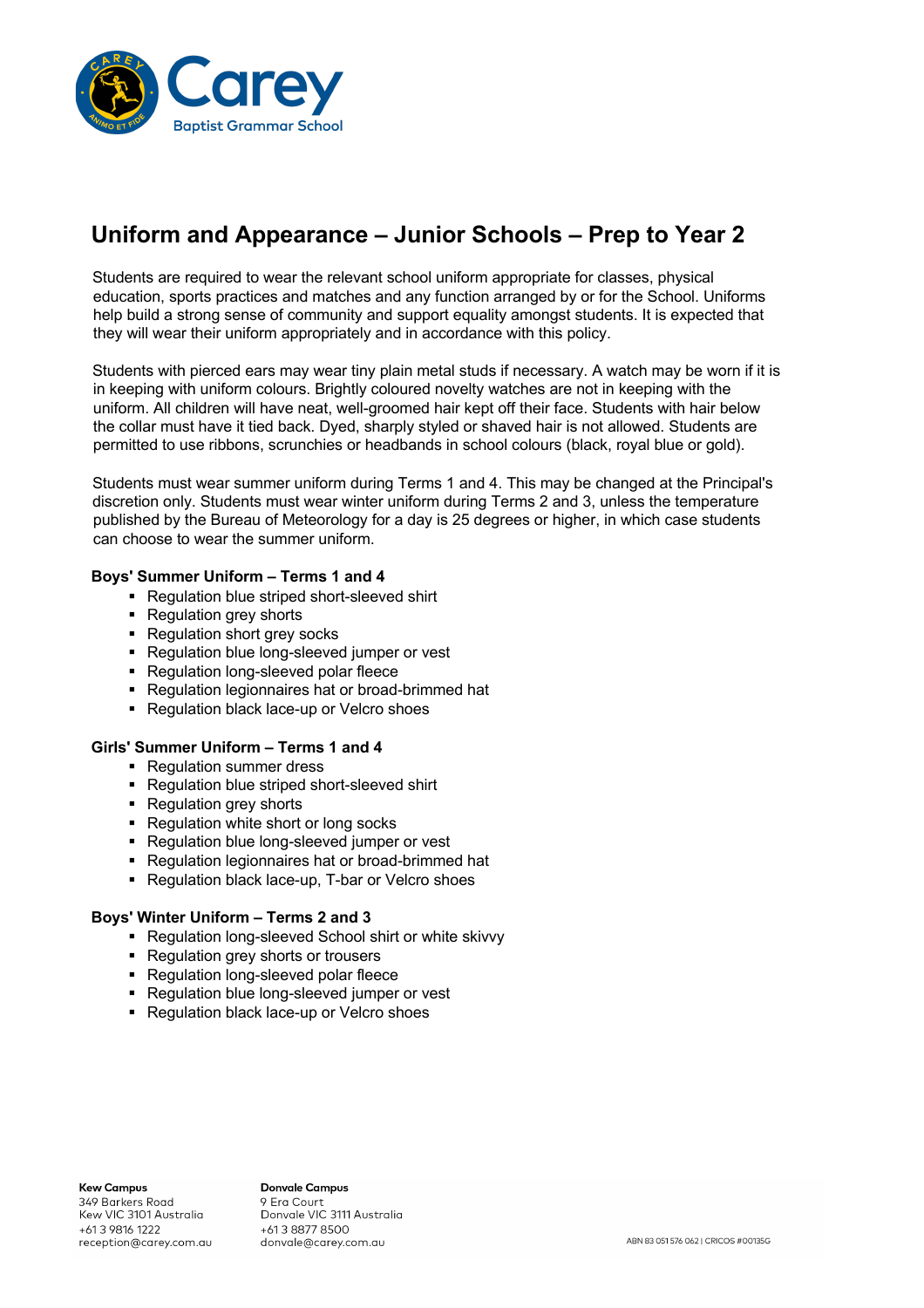

# **Uniform and Appearance – Junior Schools – Prep to Year 2**

Students are required to wear the relevant school uniform appropriate for classes, physical education, sports practices and matches and any function arranged by or for the School. Uniforms help build a strong sense of community and support equality amongst students. It is expected that they will wear their uniform appropriately and in accordance with this policy.

Students with pierced ears may wear tiny plain metal studs if necessary. A watch may be worn if it is in keeping with uniform colours. Brightly coloured novelty watches are not in keeping with the uniform. All children will have neat, well-groomed hair kept off their face. Students with hair below the collar must have it tied back. Dyed, sharply styled or shaved hair is not allowed. Students are permitted to use ribbons, scrunchies or headbands in school colours (black, royal blue or gold).

Students must wear summer uniform during Terms 1 and 4. This may be changed at the Principal's discretion only. Students must wear winter uniform during Terms 2 and 3, unless the temperature published by the Bureau of Meteorology for a day is 25 degrees or higher, in which case students can choose to wear the summer uniform.

### **Boys' Summer Uniform – Terms 1 and 4**

- Regulation blue striped short-sleeved shirt
- Regulation grey shorts
- Regulation short grey socks
- Regulation blue long-sleeved jumper or vest
- Regulation long-sleeved polar fleece
- Regulation legionnaires hat or broad-brimmed hat
- Regulation black lace-up or Velcro shoes

### **Girls' Summer Uniform – Terms 1 and 4**

- Regulation summer dress
- Regulation blue striped short-sleeved shirt
- Regulation grey shorts
- Regulation white short or long socks
- Regulation blue long-sleeved jumper or vest
- Regulation legionnaires hat or broad-brimmed hat
- Regulation black lace-up, T-bar or Velcro shoes

#### **Boys' Winter Uniform – Terms 2 and 3**

- Regulation long-sleeved School shirt or white skivvy
- Regulation grey shorts or trousers
- Regulation long-sleeved polar fleece
- Regulation blue long-sleeved jumper or vest
- Regulation black lace-up or Velcro shoes

**Kew Campus** 349 Barkers Road Kew VIC 3101 Australia +61 3 9816 1222 reception@carey.com.au

**Donvale Campus** 9 Era Court Donvale VIC 3111 Australia +613 8877 8500 donvale@carey.com.au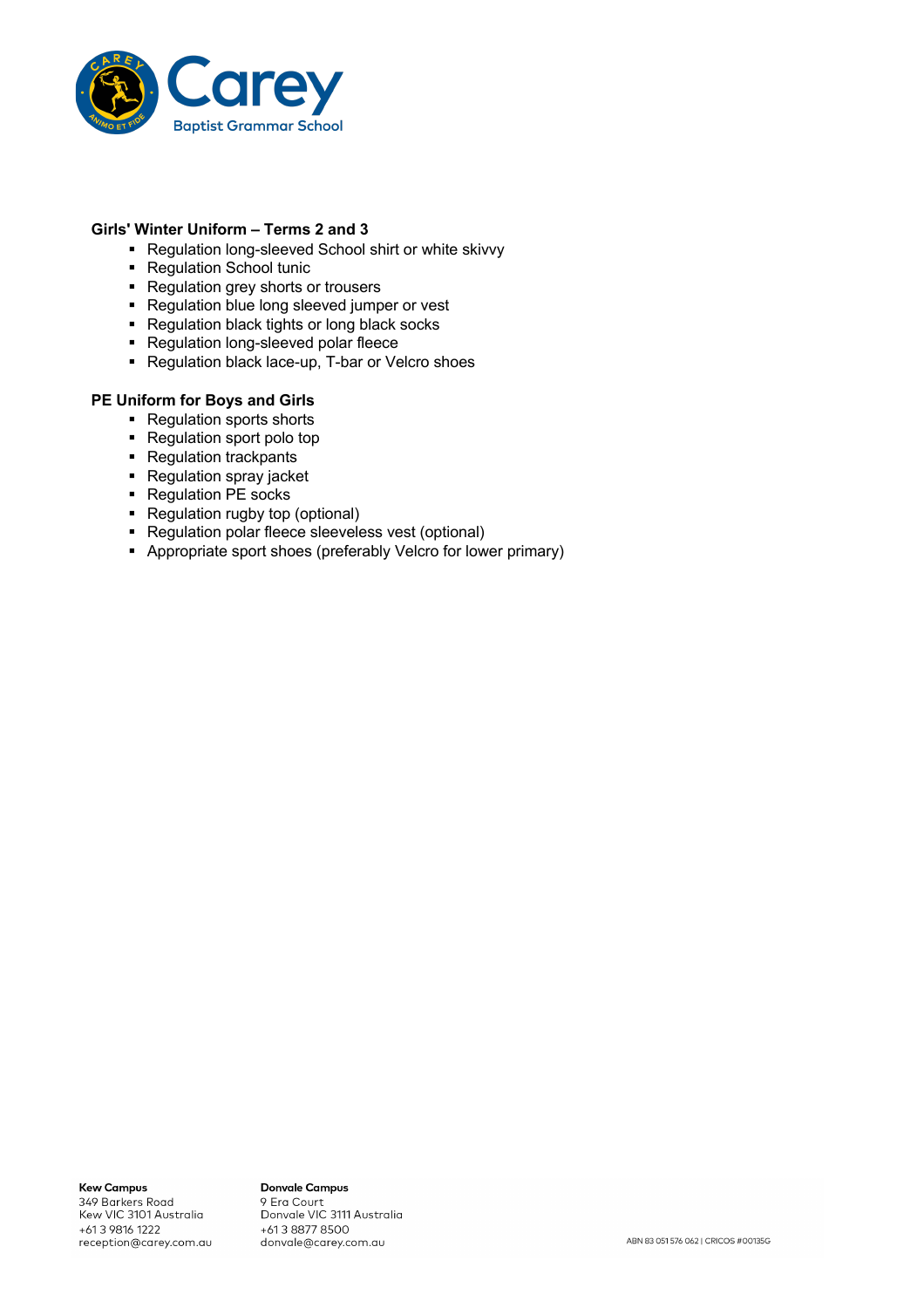

# **Girls' Winter Uniform – Terms 2 and 3**

- Regulation long-sleeved School shirt or white skivvy
- Regulation School tunic
- Regulation grey shorts or trousers
- Regulation blue long sleeved jumper or vest
- Regulation black tights or long black socks
- Regulation long-sleeved polar fleece
- Regulation black lace-up, T-bar or Velcro shoes

### **PE Uniform for Boys and Girls**

- Regulation sports shorts
- Regulation sport polo top
- Regulation trackpants
- Regulation spray jacket
- Regulation PE socks
- Regulation rugby top (optional)
- Regulation polar fleece sleeveless vest (optional)
- § Appropriate sport shoes (preferably Velcro for lower primary)

**Kew Campus** 349 Barkers Road Kew VIC 3101 Australia +61 3 9816 1222 reception@carey.com.au

**Donvale Campus** o Era Court<br>9 Era Court<br>Donvale VIC 3111 Australia +613 8877 8500 donvale@carey.com.au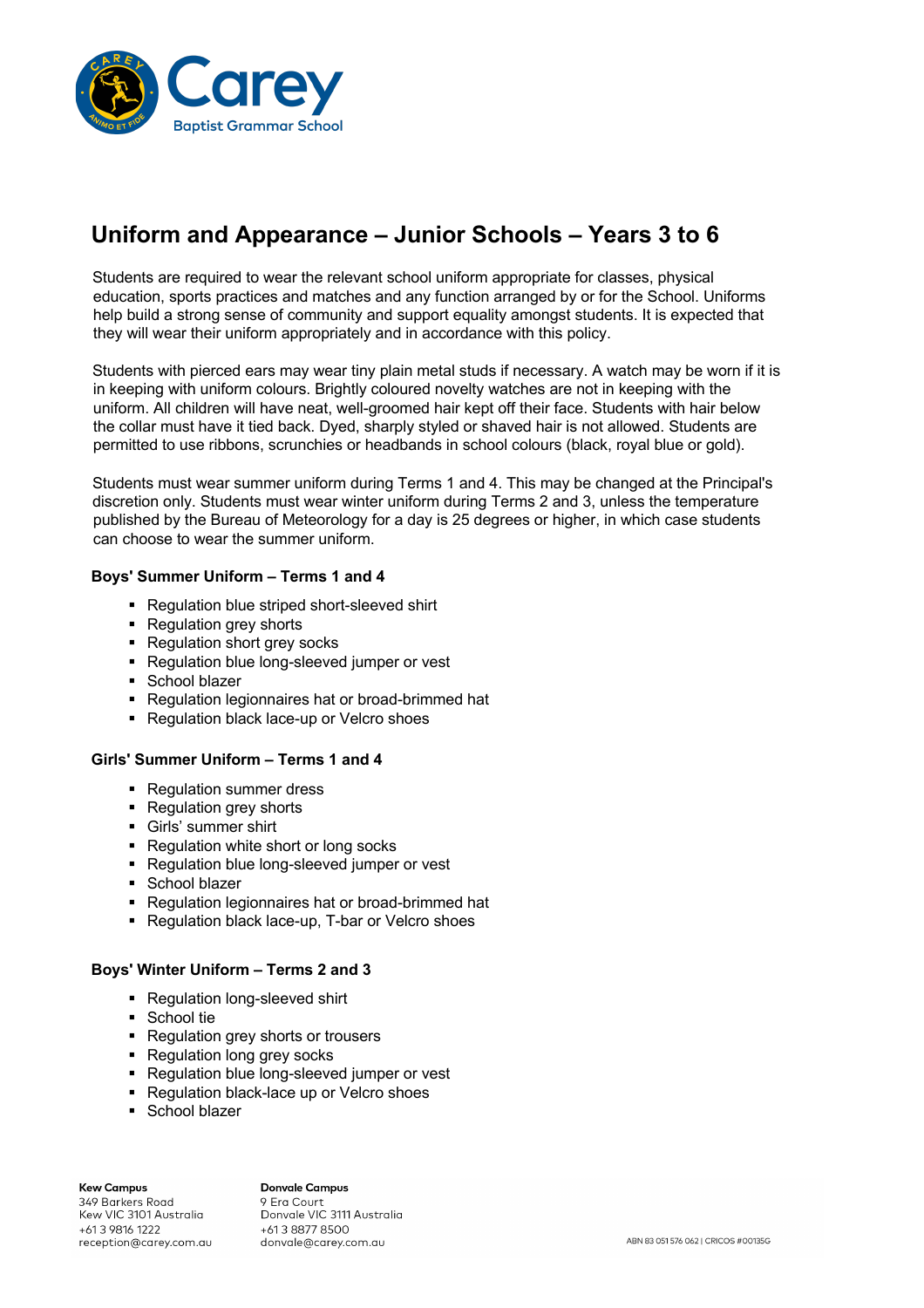

# **Uniform and Appearance – Junior Schools – Years 3 to 6**

Students are required to wear the relevant school uniform appropriate for classes, physical education, sports practices and matches and any function arranged by or for the School. Uniforms help build a strong sense of community and support equality amongst students. It is expected that they will wear their uniform appropriately and in accordance with this policy.

Students with pierced ears may wear tiny plain metal studs if necessary. A watch may be worn if it is in keeping with uniform colours. Brightly coloured novelty watches are not in keeping with the uniform. All children will have neat, well-groomed hair kept off their face. Students with hair below the collar must have it tied back. Dyed, sharply styled or shaved hair is not allowed. Students are permitted to use ribbons, scrunchies or headbands in school colours (black, royal blue or gold).

Students must wear summer uniform during Terms 1 and 4. This may be changed at the Principal's discretion only. Students must wear winter uniform during Terms 2 and 3, unless the temperature published by the Bureau of Meteorology for a day is 25 degrees or higher, in which case students can choose to wear the summer uniform.

### **Boys' Summer Uniform – Terms 1 and 4**

- Regulation blue striped short-sleeved shirt
- Regulation grey shorts
- Regulation short grey socks
- Regulation blue long-sleeved jumper or vest
- School blazer
- Regulation legionnaires hat or broad-brimmed hat
- Regulation black lace-up or Velcro shoes

#### **Girls' Summer Uniform – Terms 1 and 4**

- Regulation summer dress
- Regulation grey shorts
- § Girls' summer shirt
- Regulation white short or long socks
- Regulation blue long-sleeved jumper or vest
- School blazer
- Regulation legionnaires hat or broad-brimmed hat
- Regulation black lace-up, T-bar or Velcro shoes

### **Boys' Winter Uniform – Terms 2 and 3**

- Regulation long-sleeved shirt
- School tie
- Regulation grey shorts or trousers
- Regulation long grey socks
- Regulation blue long-sleeved jumper or vest
- Regulation black-lace up or Velcro shoes
- School blazer

#### **Kew Campus** 349 Barkers Road Kew VIC 3101 Australia +61 3 9816 1222 reception@carey.com.au

**Donvale Campus** 9 Era Court Donvale VIC 3111 Australia +613 8877 8500 donvale@carey.com.au